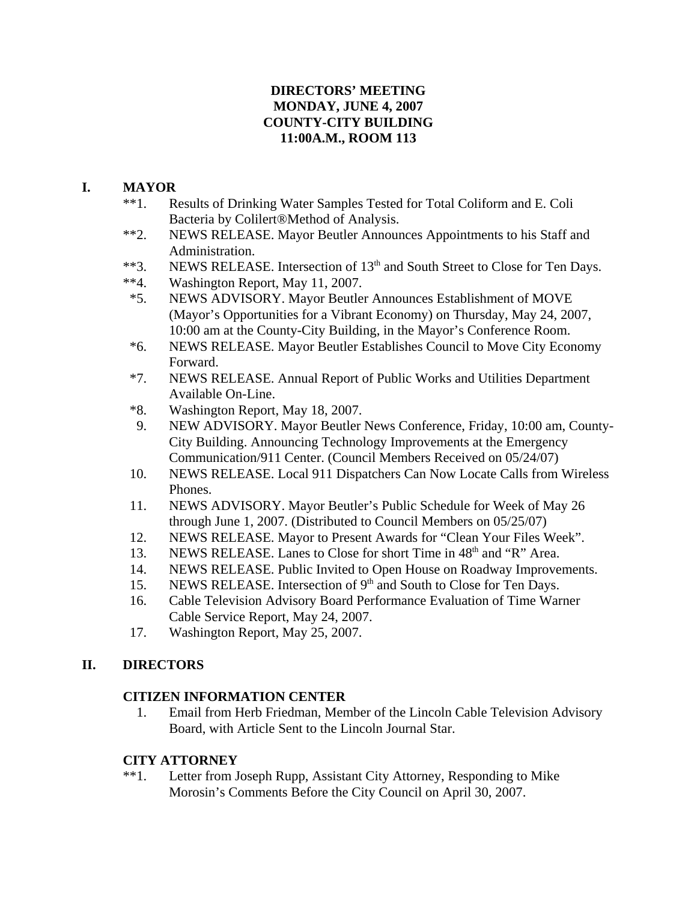### **DIRECTORS' MEETING MONDAY, JUNE 4, 2007 COUNTY-CITY BUILDING 11:00A.M., ROOM 113**

### **I. MAYOR**

- \*\*1. Results of Drinking Water Samples Tested for Total Coliform and E. Coli Bacteria by Colilert®Method of Analysis.
- \*\*2. NEWS RELEASE. Mayor Beutler Announces Appointments to his Staff and Administration.
- \*\*3. NEWS RELEASE. Intersection of 13<sup>th</sup> and South Street to Close for Ten Days.
- \*\*4. Washington Report, May 11, 2007.
- \*5. NEWS ADVISORY. Mayor Beutler Announces Establishment of MOVE (Mayor's Opportunities for a Vibrant Economy) on Thursday, May 24, 2007, 10:00 am at the County-City Building, in the Mayor's Conference Room.
- \*6. NEWS RELEASE. Mayor Beutler Establishes Council to Move City Economy Forward.
- \*7. NEWS RELEASE. Annual Report of Public Works and Utilities Department Available On-Line.
- \*8. Washington Report, May 18, 2007.
- 9. NEW ADVISORY. Mayor Beutler News Conference, Friday, 10:00 am, County-City Building. Announcing Technology Improvements at the Emergency Communication/911 Center. (Council Members Received on 05/24/07)
- 10. NEWS RELEASE. Local 911 Dispatchers Can Now Locate Calls from Wireless Phones.
- 11. NEWS ADVISORY. Mayor Beutler's Public Schedule for Week of May 26 through June 1, 2007. (Distributed to Council Members on 05/25/07)
- 12. NEWS RELEASE. Mayor to Present Awards for "Clean Your Files Week".
- 13. NEWS RELEASE. Lanes to Close for short Time in 48<sup>th</sup> and "R" Area.
- 14. NEWS RELEASE. Public Invited to Open House on Roadway Improvements.
- 15. NEWS RELEASE. Intersection of 9<sup>th</sup> and South to Close for Ten Days.
- 16. Cable Television Advisory Board Performance Evaluation of Time Warner Cable Service Report, May 24, 2007.
- 17. Washington Report, May 25, 2007.

## **II. DIRECTORS**

### **CITIZEN INFORMATION CENTER**

 1. Email from Herb Friedman, Member of the Lincoln Cable Television Advisory Board, with Article Sent to the Lincoln Journal Star.

### **CITY ATTORNEY**

\*\*1. Letter from Joseph Rupp, Assistant City Attorney, Responding to Mike Morosin's Comments Before the City Council on April 30, 2007.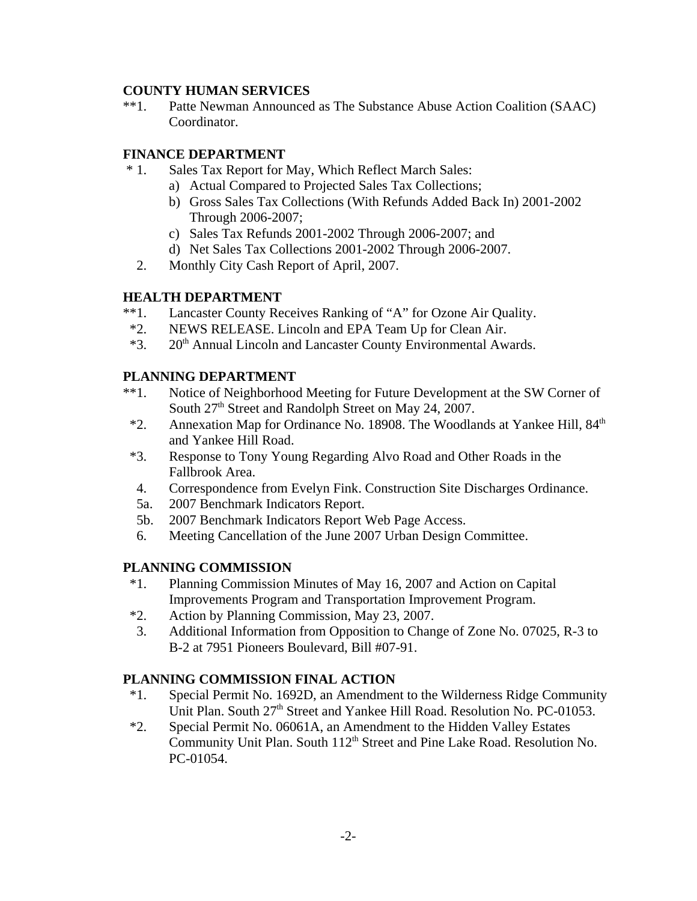#### **COUNTY HUMAN SERVICES**

\*\*1. Patte Newman Announced as The Substance Abuse Action Coalition (SAAC) Coordinator.

#### **FINANCE DEPARTMENT**

- \* 1. Sales Tax Report for May, Which Reflect March Sales:
	- a) Actual Compared to Projected Sales Tax Collections;
	- b) Gross Sales Tax Collections (With Refunds Added Back In) 2001-2002 Through 2006-2007;
	- c) Sales Tax Refunds 2001-2002 Through 2006-2007; and
	- d) Net Sales Tax Collections 2001-2002 Through 2006-2007.
	- 2. Monthly City Cash Report of April, 2007.

#### **HEALTH DEPARTMENT**

- \*\*1. Lancaster County Receives Ranking of "A" for Ozone Air Quality.
- \*2. NEWS RELEASE. Lincoln and EPA Team Up for Clean Air.
- \*3. 20<sup>th</sup> Annual Lincoln and Lancaster County Environmental Awards.

#### **PLANNING DEPARTMENT**

- \*\*1. Notice of Neighborhood Meeting for Future Development at the SW Corner of South 27<sup>th</sup> Street and Randolph Street on May 24, 2007.
- $*2$ . Annexation Map for Ordinance No. 18908. The Woodlands at Yankee Hill,  $84<sup>th</sup>$ and Yankee Hill Road.
- \*3. Response to Tony Young Regarding Alvo Road and Other Roads in the Fallbrook Area.
- 4. Correspondence from Evelyn Fink. Construction Site Discharges Ordinance.
- 5a. 2007 Benchmark Indicators Report.
- 5b. 2007 Benchmark Indicators Report Web Page Access.
- 6. Meeting Cancellation of the June 2007 Urban Design Committee.

#### **PLANNING COMMISSION**

- \*1. Planning Commission Minutes of May 16, 2007 and Action on Capital Improvements Program and Transportation Improvement Program.
- \*2. Action by Planning Commission, May 23, 2007.
- 3. Additional Information from Opposition to Change of Zone No. 07025, R-3 to B-2 at 7951 Pioneers Boulevard, Bill #07-91.

### **PLANNING COMMISSION FINAL ACTION**

- \*1. Special Permit No. 1692D, an Amendment to the Wilderness Ridge Community Unit Plan. South 27<sup>th</sup> Street and Yankee Hill Road. Resolution No. PC-01053.
- \*2. Special Permit No. 06061A, an Amendment to the Hidden Valley Estates Community Unit Plan. South 112<sup>th</sup> Street and Pine Lake Road. Resolution No. PC-01054.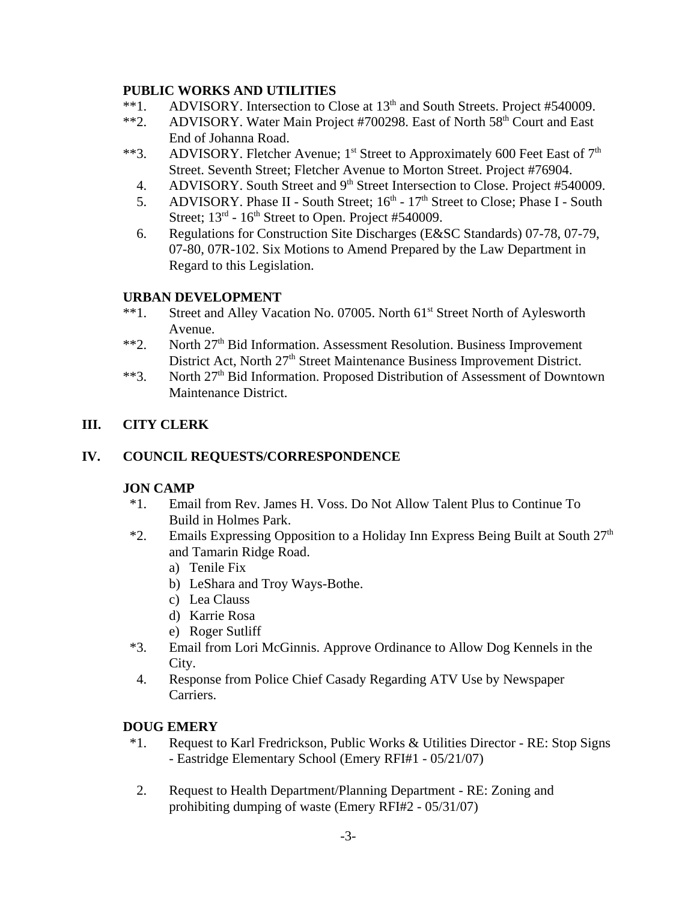### **PUBLIC WORKS AND UTILITIES**

- \*\*1. ADVISORY. Intersection to Close at 13<sup>th</sup> and South Streets. Project #540009.
- \*\*2. ADVISORY. Water Main Project #700298. East of North 58<sup>th</sup> Court and East End of Johanna Road.
- \*\*3. ADVISORY. Fletcher Avenue; 1<sup>st</sup> Street to Approximately 600 Feet East of 7<sup>th</sup> Street. Seventh Street; Fletcher Avenue to Morton Street. Project #76904.
	- 4. ADVISORY. South Street and 9<sup>th</sup> Street Intersection to Close. Project #540009.
	- 5. ADVISORY. Phase II South Street;  $16<sup>th</sup>$   $17<sup>th</sup>$  Street to Close; Phase I South Street;  $13<sup>rd</sup>$  -  $16<sup>th</sup>$  Street to Open. Project #540009.
	- 6. Regulations for Construction Site Discharges (E&SC Standards) 07-78, 07-79, 07-80, 07R-102. Six Motions to Amend Prepared by the Law Department in Regard to this Legislation.

## **URBAN DEVELOPMENT**

- \*\*1. Street and Alley Vacation No. 07005. North 61<sup>st</sup> Street North of Aylesworth Avenue.
- \*\*2. North 27<sup>th</sup> Bid Information. Assessment Resolution. Business Improvement District Act, North 27<sup>th</sup> Street Maintenance Business Improvement District.
- \*\*3. North 27<sup>th</sup> Bid Information. Proposed Distribution of Assessment of Downtown Maintenance District.

## **III. CITY CLERK**

## **IV. COUNCIL REQUESTS/CORRESPONDENCE**

### **JON CAMP**

- \*1. Email from Rev. James H. Voss. Do Not Allow Talent Plus to Continue To Build in Holmes Park.
- \*2. Emails Expressing Opposition to a Holiday Inn Express Being Built at South  $27<sup>th</sup>$ and Tamarin Ridge Road.
	- a) Tenile Fix
	- b) LeShara and Troy Ways-Bothe.
	- c) Lea Clauss
	- d) Karrie Rosa
	- e) Roger Sutliff
- \*3. Email from Lori McGinnis. Approve Ordinance to Allow Dog Kennels in the City.
- 4. Response from Police Chief Casady Regarding ATV Use by Newspaper Carriers.

## **DOUG EMERY**

- \*1. Request to Karl Fredrickson, Public Works & Utilities Director RE: Stop Signs - Eastridge Elementary School (Emery RFI#1 - 05/21/07)
- 2. Request to Health Department/Planning Department RE: Zoning and prohibiting dumping of waste (Emery RFI#2 - 05/31/07)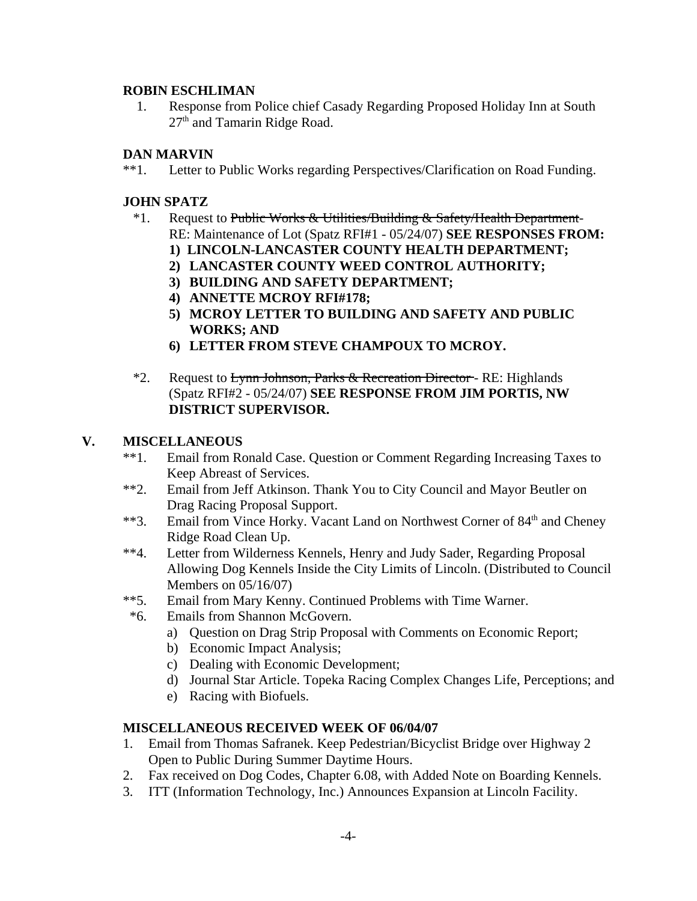#### **ROBIN ESCHLIMAN**

1. Response from Police chief Casady Regarding Proposed Holiday Inn at South 27<sup>th</sup> and Tamarin Ridge Road.

### **DAN MARVIN**

\*\*1. Letter to Public Works regarding Perspectives/Clarification on Road Funding.

### **JOHN SPATZ**

- <sup>\*</sup>1. Request to Public Works & Utilities/Building & Safety/Health Department-RE: Maintenance of Lot (Spatz RFI#1 - 05/24/07) **SEE RESPONSES FROM:**
	- **1) LINCOLN-LANCASTER COUNTY HEALTH DEPARTMENT;**
	- **2) LANCASTER COUNTY WEED CONTROL AUTHORITY;**
	- **3) BUILDING AND SAFETY DEPARTMENT;**
	- **4) ANNETTE MCROY RFI#178;**
	- **5) MCROY LETTER TO BUILDING AND SAFETY AND PUBLIC WORKS; AND**
	- **6) LETTER FROM STEVE CHAMPOUX TO MCROY.**
- \*2. Request to Lynn Johnson, Parks & Recreation Director RE: Highlands (Spatz RFI#2 - 05/24/07) **SEE RESPONSE FROM JIM PORTIS, NW DISTRICT SUPERVISOR.**

## **V. MISCELLANEOUS**

- \*\*1. Email from Ronald Case. Question or Comment Regarding Increasing Taxes to Keep Abreast of Services.
- \*\*2. Email from Jeff Atkinson. Thank You to City Council and Mayor Beutler on Drag Racing Proposal Support.
- \*\*3. Email from Vince Horky. Vacant Land on Northwest Corner of 84<sup>th</sup> and Cheney Ridge Road Clean Up.
- \*\*4. Letter from Wilderness Kennels, Henry and Judy Sader, Regarding Proposal Allowing Dog Kennels Inside the City Limits of Lincoln. (Distributed to Council Members on 05/16/07)
- \*\*5. Email from Mary Kenny. Continued Problems with Time Warner.
- \*6. Emails from Shannon McGovern.
	- a) Question on Drag Strip Proposal with Comments on Economic Report;
	- b) Economic Impact Analysis;
	- c) Dealing with Economic Development;
	- d) Journal Star Article. Topeka Racing Complex Changes Life, Perceptions; and
	- e) Racing with Biofuels.

### **MISCELLANEOUS RECEIVED WEEK OF 06/04/07**

- 1. Email from Thomas Safranek. Keep Pedestrian/Bicyclist Bridge over Highway 2 Open to Public During Summer Daytime Hours.
- 2. Fax received on Dog Codes, Chapter 6.08, with Added Note on Boarding Kennels.
- 3. ITT (Information Technology, Inc.) Announces Expansion at Lincoln Facility.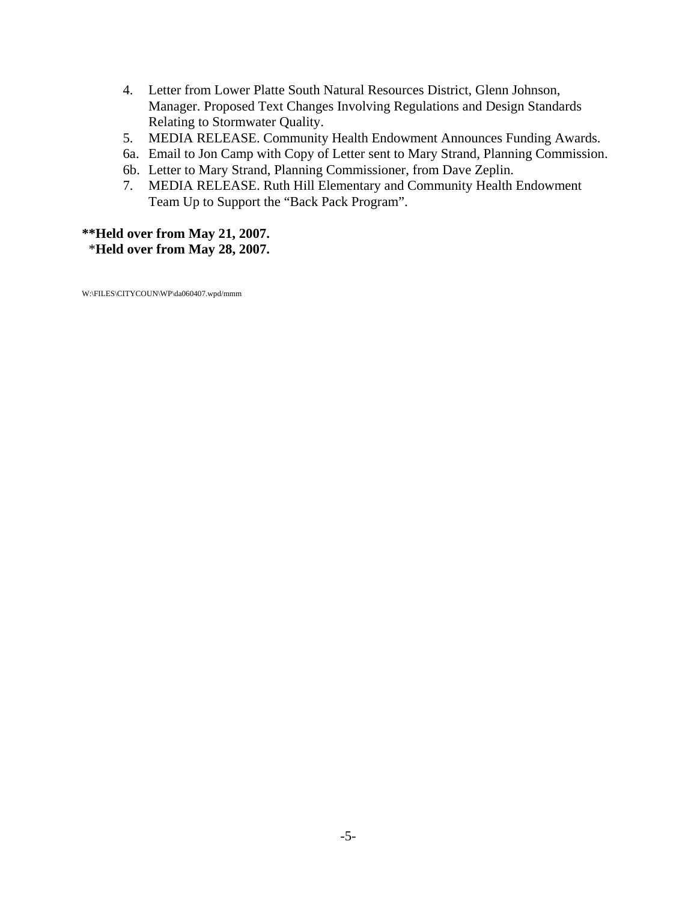- 4. Letter from Lower Platte South Natural Resources District, Glenn Johnson, Manager. Proposed Text Changes Involving Regulations and Design Standards Relating to Stormwater Quality.
- 5. MEDIA RELEASE. Community Health Endowment Announces Funding Awards.
- 6a. Email to Jon Camp with Copy of Letter sent to Mary Strand, Planning Commission.
- 6b. Letter to Mary Strand, Planning Commissioner, from Dave Zeplin.
- 7. MEDIA RELEASE. Ruth Hill Elementary and Community Health Endowment Team Up to Support the "Back Pack Program".

## **\*\*Held over from May 21, 2007.** \***Held over from May 28, 2007.**

W:\FILES\CITYCOUN\WP\da060407.wpd/mmm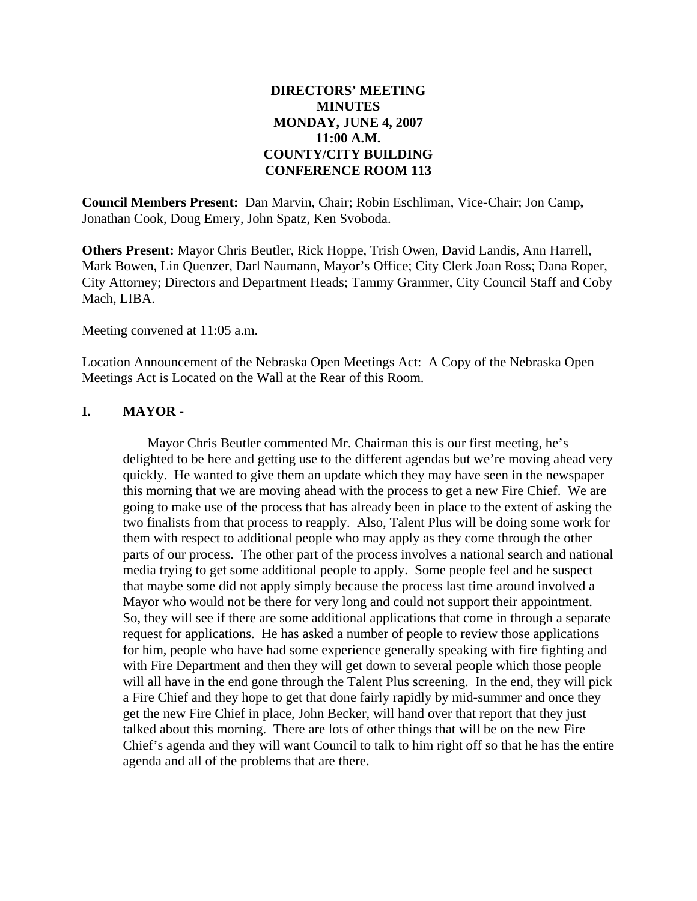#### **DIRECTORS' MEETING MINUTES MONDAY, JUNE 4, 2007 11:00 A.M. COUNTY/CITY BUILDING CONFERENCE ROOM 113**

**Council Members Present:** Dan Marvin, Chair; Robin Eschliman, Vice-Chair; Jon Camp**,** Jonathan Cook, Doug Emery, John Spatz, Ken Svoboda.

**Others Present:** Mayor Chris Beutler, Rick Hoppe, Trish Owen, David Landis, Ann Harrell, Mark Bowen, Lin Quenzer, Darl Naumann, Mayor's Office; City Clerk Joan Ross; Dana Roper, City Attorney; Directors and Department Heads; Tammy Grammer, City Council Staff and Coby Mach, LIBA.

Meeting convened at 11:05 a.m.

Location Announcement of the Nebraska Open Meetings Act: A Copy of the Nebraska Open Meetings Act is Located on the Wall at the Rear of this Room.

#### **I. MAYOR -**

Mayor Chris Beutler commented Mr. Chairman this is our first meeting, he's delighted to be here and getting use to the different agendas but we're moving ahead very quickly. He wanted to give them an update which they may have seen in the newspaper this morning that we are moving ahead with the process to get a new Fire Chief. We are going to make use of the process that has already been in place to the extent of asking the two finalists from that process to reapply. Also, Talent Plus will be doing some work for them with respect to additional people who may apply as they come through the other parts of our process. The other part of the process involves a national search and national media trying to get some additional people to apply. Some people feel and he suspect that maybe some did not apply simply because the process last time around involved a Mayor who would not be there for very long and could not support their appointment. So, they will see if there are some additional applications that come in through a separate request for applications. He has asked a number of people to review those applications for him, people who have had some experience generally speaking with fire fighting and with Fire Department and then they will get down to several people which those people will all have in the end gone through the Talent Plus screening. In the end, they will pick a Fire Chief and they hope to get that done fairly rapidly by mid-summer and once they get the new Fire Chief in place, John Becker, will hand over that report that they just talked about this morning. There are lots of other things that will be on the new Fire Chief's agenda and they will want Council to talk to him right off so that he has the entire agenda and all of the problems that are there.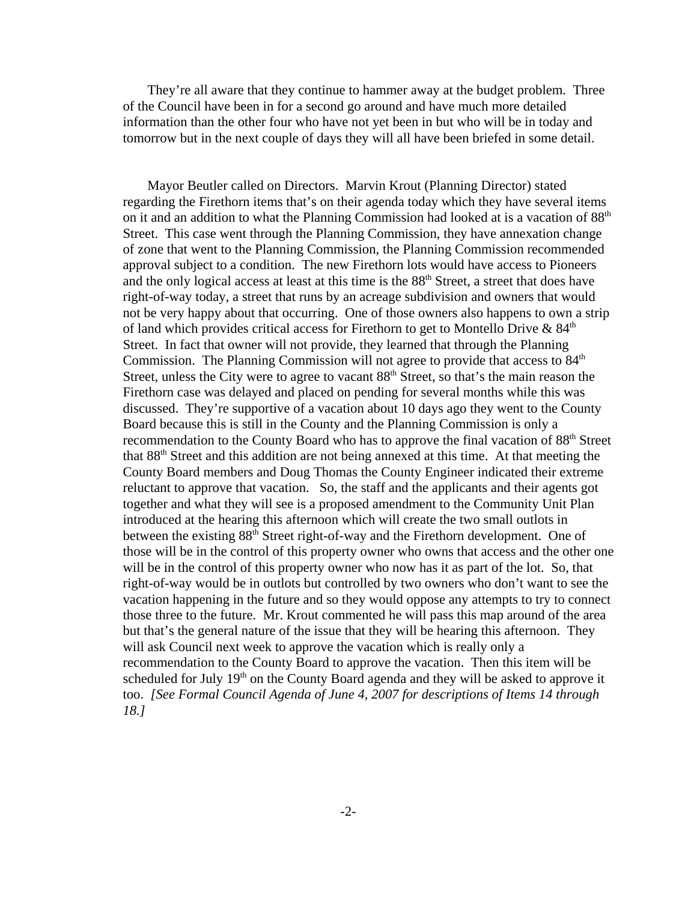They're all aware that they continue to hammer away at the budget problem. Three of the Council have been in for a second go around and have much more detailed information than the other four who have not yet been in but who will be in today and tomorrow but in the next couple of days they will all have been briefed in some detail.

Mayor Beutler called on Directors. Marvin Krout (Planning Director) stated regarding the Firethorn items that's on their agenda today which they have several items on it and an addition to what the Planning Commission had looked at is a vacation of 88<sup>th</sup> Street. This case went through the Planning Commission, they have annexation change of zone that went to the Planning Commission, the Planning Commission recommended approval subject to a condition. The new Firethorn lots would have access to Pioneers and the only logical access at least at this time is the 88<sup>th</sup> Street, a street that does have right-of-way today, a street that runs by an acreage subdivision and owners that would not be very happy about that occurring. One of those owners also happens to own a strip of land which provides critical access for Firethorn to get to Montello Drive  $\&84<sup>th</sup>$ Street. In fact that owner will not provide, they learned that through the Planning Commission. The Planning Commission will not agree to provide that access to  $84<sup>th</sup>$ Street, unless the City were to agree to vacant  $88<sup>th</sup>$  Street, so that's the main reason the Firethorn case was delayed and placed on pending for several months while this was discussed. They're supportive of a vacation about 10 days ago they went to the County Board because this is still in the County and the Planning Commission is only a recommendation to the County Board who has to approve the final vacation of 88<sup>th</sup> Street that 88<sup>th</sup> Street and this addition are not being annexed at this time. At that meeting the County Board members and Doug Thomas the County Engineer indicated their extreme reluctant to approve that vacation. So, the staff and the applicants and their agents got together and what they will see is a proposed amendment to the Community Unit Plan introduced at the hearing this afternoon which will create the two small outlots in between the existing 88<sup>th</sup> Street right-of-way and the Firethorn development. One of those will be in the control of this property owner who owns that access and the other one will be in the control of this property owner who now has it as part of the lot. So, that right-of-way would be in outlots but controlled by two owners who don't want to see the vacation happening in the future and so they would oppose any attempts to try to connect those three to the future. Mr. Krout commented he will pass this map around of the area but that's the general nature of the issue that they will be hearing this afternoon. They will ask Council next week to approve the vacation which is really only a recommendation to the County Board to approve the vacation. Then this item will be scheduled for July 19<sup>th</sup> on the County Board agenda and they will be asked to approve it too. *[See Formal Council Agenda of June 4, 2007 for descriptions of Items 14 through 18.]*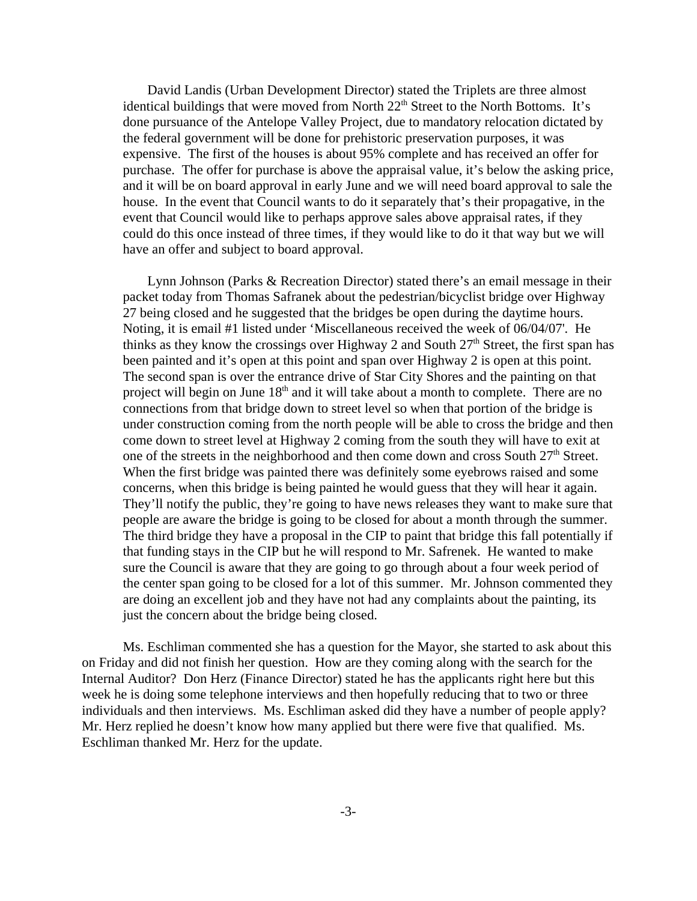David Landis (Urban Development Director) stated the Triplets are three almost identical buildings that were moved from North 22<sup>th</sup> Street to the North Bottoms. It's done pursuance of the Antelope Valley Project, due to mandatory relocation dictated by the federal government will be done for prehistoric preservation purposes, it was expensive. The first of the houses is about 95% complete and has received an offer for purchase. The offer for purchase is above the appraisal value, it's below the asking price, and it will be on board approval in early June and we will need board approval to sale the house. In the event that Council wants to do it separately that's their propagative, in the event that Council would like to perhaps approve sales above appraisal rates, if they could do this once instead of three times, if they would like to do it that way but we will have an offer and subject to board approval.

Lynn Johnson (Parks & Recreation Director) stated there's an email message in their packet today from Thomas Safranek about the pedestrian/bicyclist bridge over Highway 27 being closed and he suggested that the bridges be open during the daytime hours. Noting, it is email #1 listed under 'Miscellaneous received the week of 06/04/07'. He thinks as they know the crossings over Highway 2 and South  $27<sup>th</sup>$  Street, the first span has been painted and it's open at this point and span over Highway 2 is open at this point. The second span is over the entrance drive of Star City Shores and the painting on that project will begin on June  $18<sup>th</sup>$  and it will take about a month to complete. There are no connections from that bridge down to street level so when that portion of the bridge is under construction coming from the north people will be able to cross the bridge and then come down to street level at Highway 2 coming from the south they will have to exit at one of the streets in the neighborhood and then come down and cross South  $27<sup>th</sup>$  Street. When the first bridge was painted there was definitely some eyebrows raised and some concerns, when this bridge is being painted he would guess that they will hear it again. They'll notify the public, they're going to have news releases they want to make sure that people are aware the bridge is going to be closed for about a month through the summer. The third bridge they have a proposal in the CIP to paint that bridge this fall potentially if that funding stays in the CIP but he will respond to Mr. Safrenek. He wanted to make sure the Council is aware that they are going to go through about a four week period of the center span going to be closed for a lot of this summer. Mr. Johnson commented they are doing an excellent job and they have not had any complaints about the painting, its just the concern about the bridge being closed.

Ms. Eschliman commented she has a question for the Mayor, she started to ask about this on Friday and did not finish her question. How are they coming along with the search for the Internal Auditor? Don Herz (Finance Director) stated he has the applicants right here but this week he is doing some telephone interviews and then hopefully reducing that to two or three individuals and then interviews. Ms. Eschliman asked did they have a number of people apply? Mr. Herz replied he doesn't know how many applied but there were five that qualified. Ms. Eschliman thanked Mr. Herz for the update.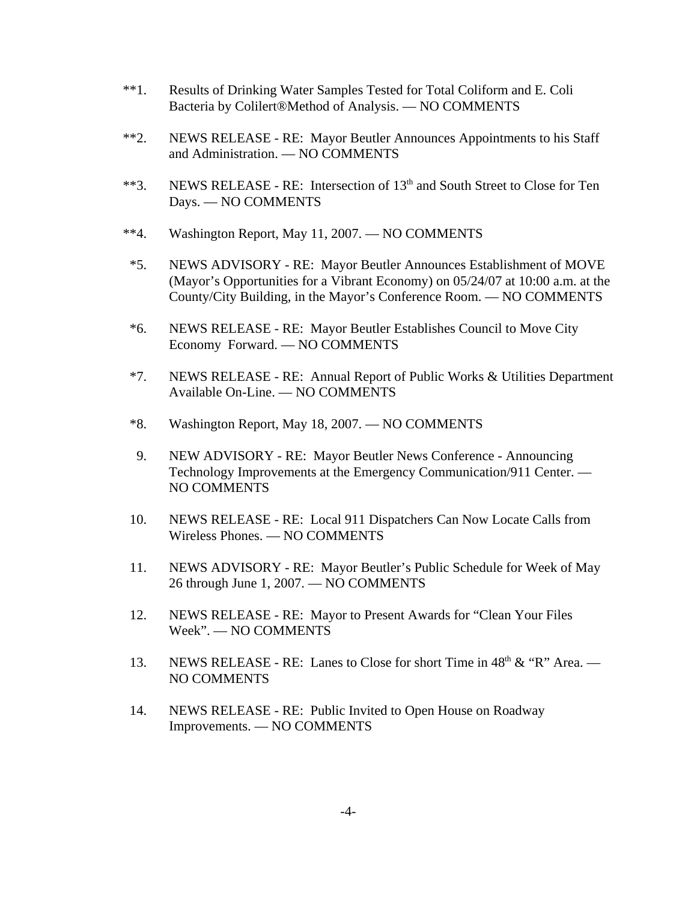- \*\*1. Results of Drinking Water Samples Tested for Total Coliform and E. Coli Bacteria by Colilert®Method of Analysis. — NO COMMENTS
- \*\*2. NEWS RELEASE RE: Mayor Beutler Announces Appointments to his Staff and Administration. — NO COMMENTS
- \*\*3. NEWS RELEASE RE: Intersection of  $13<sup>th</sup>$  and South Street to Close for Ten Days. — NO COMMENTS
- \*\*4. Washington Report, May 11, 2007. NO COMMENTS
- \*5. NEWS ADVISORY RE: Mayor Beutler Announces Establishment of MOVE (Mayor's Opportunities for a Vibrant Economy) on 05/24/07 at 10:00 a.m. at the County/City Building, in the Mayor's Conference Room. — NO COMMENTS
- \*6. NEWS RELEASE RE: Mayor Beutler Establishes Council to Move City Economy Forward. — NO COMMENTS
- \*7. NEWS RELEASE RE: Annual Report of Public Works & Utilities Department Available On-Line. — NO COMMENTS
- \*8. Washington Report, May 18, 2007. NO COMMENTS
- 9. NEW ADVISORY RE: Mayor Beutler News Conference Announcing Technology Improvements at the Emergency Communication/911 Center. — NO COMMENTS
- 10. NEWS RELEASE RE: Local 911 Dispatchers Can Now Locate Calls from Wireless Phones. — NO COMMENTS
- 11. NEWS ADVISORY RE: Mayor Beutler's Public Schedule for Week of May 26 through June 1, 2007. — NO COMMENTS
- 12. NEWS RELEASE RE: Mayor to Present Awards for "Clean Your Files Week". — NO COMMENTS
- 13. NEWS RELEASE RE: Lanes to Close for short Time in  $48<sup>th</sup> \& ^{\circ}R''$  Area. NO COMMENTS
- 14. NEWS RELEASE RE: Public Invited to Open House on Roadway Improvements. — NO COMMENTS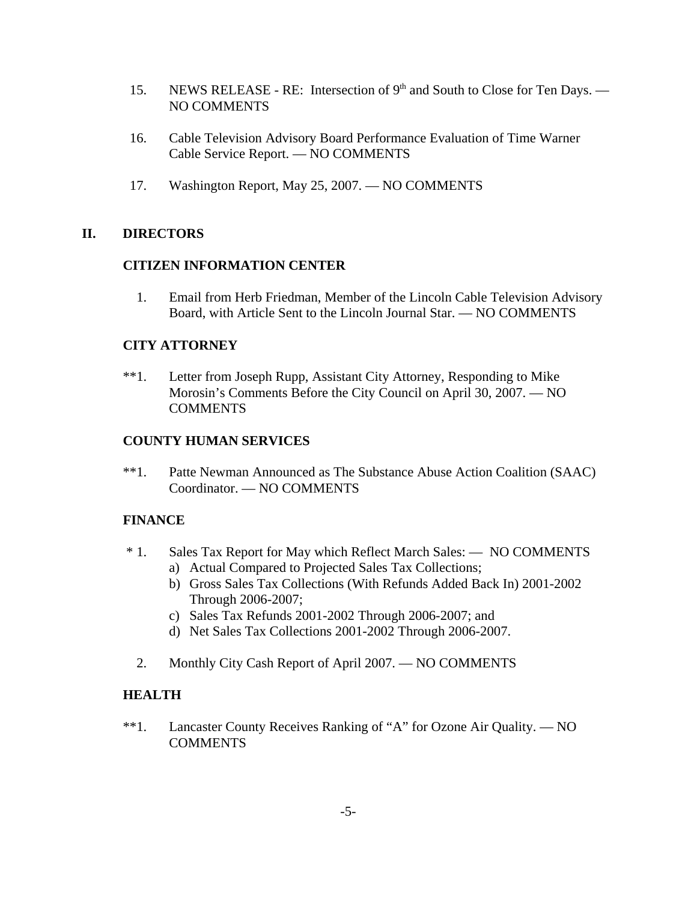- 15. NEWS RELEASE RE: Intersection of  $9<sup>th</sup>$  and South to Close for Ten Days. NO COMMENTS
- 16. Cable Television Advisory Board Performance Evaluation of Time Warner Cable Service Report. — NO COMMENTS
- 17. Washington Report, May 25, 2007. NO COMMENTS

#### **II. DIRECTORS**

#### **CITIZEN INFORMATION CENTER**

 1. Email from Herb Friedman, Member of the Lincoln Cable Television Advisory Board, with Article Sent to the Lincoln Journal Star. — NO COMMENTS

#### **CITY ATTORNEY**

\*\*1. Letter from Joseph Rupp, Assistant City Attorney, Responding to Mike Morosin's Comments Before the City Council on April 30, 2007. — NO **COMMENTS** 

#### **COUNTY HUMAN SERVICES**

\*\*1. Patte Newman Announced as The Substance Abuse Action Coalition (SAAC) Coordinator. — NO COMMENTS

#### **FINANCE**

- \* 1. Sales Tax Report for May which Reflect March Sales: NO COMMENTS
	- a) Actual Compared to Projected Sales Tax Collections;
	- b) Gross Sales Tax Collections (With Refunds Added Back In) 2001-2002 Through 2006-2007;
	- c) Sales Tax Refunds 2001-2002 Through 2006-2007; and
	- d) Net Sales Tax Collections 2001-2002 Through 2006-2007.
	- 2. Monthly City Cash Report of April 2007. NO COMMENTS

### **HEALTH**

\*\*1. Lancaster County Receives Ranking of "A" for Ozone Air Quality. — NO **COMMENTS**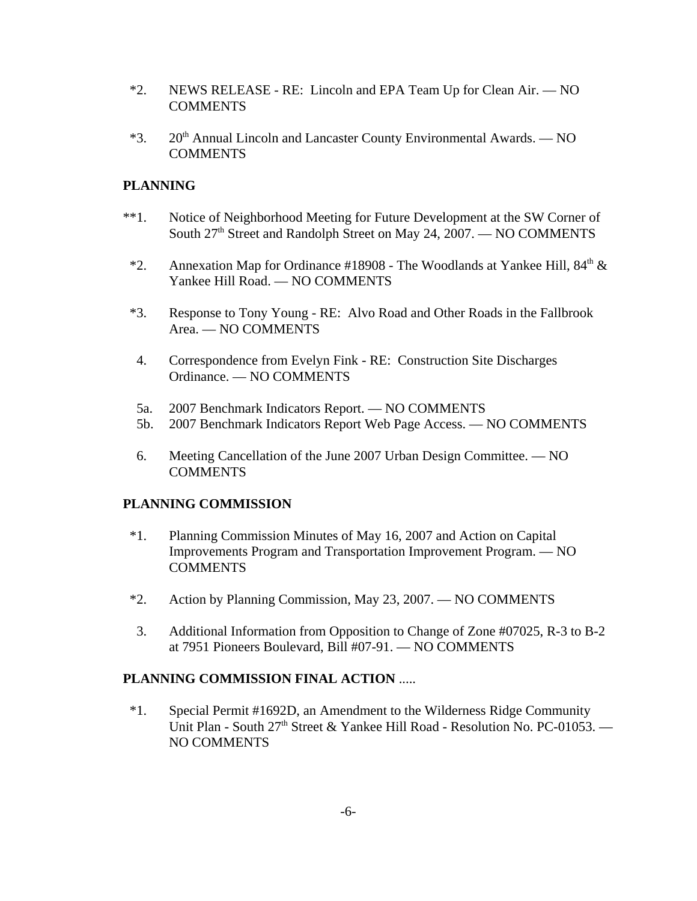- \*2. NEWS RELEASE RE: Lincoln and EPA Team Up for Clean Air. NO **COMMENTS**
- $*3.$  20<sup>th</sup> Annual Lincoln and Lancaster County Environmental Awards. NO COMMENTS

#### **PLANNING**

- \*\*1. Notice of Neighborhood Meeting for Future Development at the SW Corner of South  $27<sup>th</sup>$  Street and Randolph Street on May 24, 2007. — NO COMMENTS
- \*2. Annexation Map for Ordinance #18908 The Woodlands at Yankee Hill,  $84<sup>th</sup> \&$ Yankee Hill Road. — NO COMMENTS
- \*3. Response to Tony Young RE: Alvo Road and Other Roads in the Fallbrook Area. — NO COMMENTS
- 4. Correspondence from Evelyn Fink RE: Construction Site Discharges Ordinance. — NO COMMENTS
- 5a. 2007 Benchmark Indicators Report. NO COMMENTS
- 5b. 2007 Benchmark Indicators Report Web Page Access. NO COMMENTS
- 6. Meeting Cancellation of the June 2007 Urban Design Committee. NO COMMENTS

#### **PLANNING COMMISSION**

- \*1. Planning Commission Minutes of May 16, 2007 and Action on Capital Improvements Program and Transportation Improvement Program. — NO COMMENTS
- \*2. Action by Planning Commission, May 23, 2007. NO COMMENTS
- 3. Additional Information from Opposition to Change of Zone #07025, R-3 to B-2 at 7951 Pioneers Boulevard, Bill #07-91. — NO COMMENTS

#### **PLANNING COMMISSION FINAL ACTION** .....

 \*1. Special Permit #1692D, an Amendment to the Wilderness Ridge Community Unit Plan - South  $27<sup>th</sup>$  Street & Yankee Hill Road - Resolution No. PC-01053. — NO COMMENTS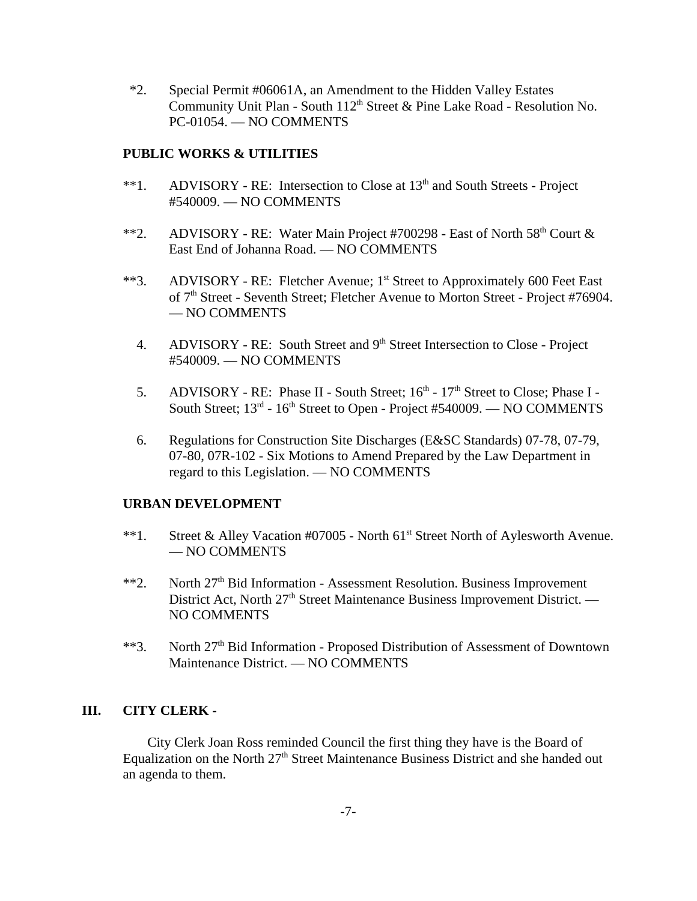\*2. Special Permit #06061A, an Amendment to the Hidden Valley Estates Community Unit Plan - South  $112<sup>th</sup>$  Street & Pine Lake Road - Resolution No. PC-01054. — NO COMMENTS

#### **PUBLIC WORKS & UTILITIES**

- \*\*1. ADVISORY RE: Intersection to Close at 13<sup>th</sup> and South Streets Project #540009. — NO COMMENTS
- \*\*2. ADVISORY RE: Water Main Project #700298 East of North  $58<sup>th</sup>$  Court & East End of Johanna Road. — NO COMMENTS
- \*\*3. ADVISORY RE: Fletcher Avenue; 1<sup>st</sup> Street to Approximately 600 Feet East of 7<sup>th</sup> Street - Seventh Street; Fletcher Avenue to Morton Street - Project #76904. — NO COMMENTS
	- 4. ADVISORY RE: South Street and 9<sup>th</sup> Street Intersection to Close Project #540009. — NO COMMENTS
	- 5. ADVISORY RE: Phase II South Street;  $16<sup>th</sup>$   $17<sup>th</sup>$  Street to Close; Phase I -South Street;  $13^{rd}$  -  $16^{th}$  Street to Open - Project #540009. — NO COMMENTS
	- 6. Regulations for Construction Site Discharges (E&SC Standards) 07-78, 07-79, 07-80, 07R-102 - Six Motions to Amend Prepared by the Law Department in regard to this Legislation. — NO COMMENTS

#### **URBAN DEVELOPMENT**

- \*\*1. Street & Alley Vacation #07005 North 61<sup>st</sup> Street North of Aylesworth Avenue. — NO COMMENTS
- \*\*2. North  $27<sup>th</sup>$  Bid Information Assessment Resolution. Business Improvement District Act, North 27<sup>th</sup> Street Maintenance Business Improvement District. — NO COMMENTS
- \*\*3. North 27<sup>th</sup> Bid Information Proposed Distribution of Assessment of Downtown Maintenance District. — NO COMMENTS

#### **III. CITY CLERK -**

City Clerk Joan Ross reminded Council the first thing they have is the Board of Equalization on the North  $27<sup>th</sup>$  Street Maintenance Business District and she handed out an agenda to them.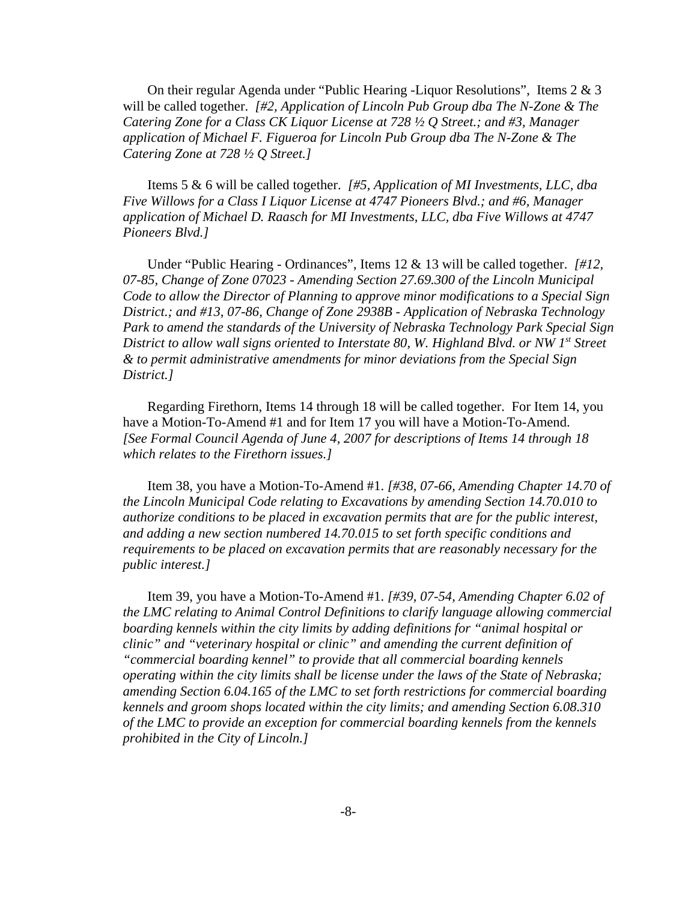On their regular Agenda under "Public Hearing -Liquor Resolutions", Items 2 & 3 will be called together. *[#2, Application of Lincoln Pub Group dba The N-Zone & The Catering Zone for a Class CK Liquor License at 728 ½ Q Street.; and #3, Manager application of Michael F. Figueroa for Lincoln Pub Group dba The N-Zone & The Catering Zone at 728 ½ Q Street.]* 

Items 5 & 6 will be called together. *[#5, Application of MI Investments, LLC, dba Five Willows for a Class I Liquor License at 4747 Pioneers Blvd.; and #6, Manager application of Michael D. Raasch for MI Investments, LLC, dba Five Willows at 4747 Pioneers Blvd.]* 

Under "Public Hearing - Ordinances", Items 12 & 13 will be called together. *[#12, 07-85, Change of Zone 07023 - Amending Section 27.69.300 of the Lincoln Municipal Code to allow the Director of Planning to approve minor modifications to a Special Sign District.; and #13, 07-86, Change of Zone 2938B - Application of Nebraska Technology Park to amend the standards of the University of Nebraska Technology Park Special Sign District to allow wall signs oriented to Interstate 80, W. Highland Blvd. or NW 1st Street & to permit administrative amendments for minor deviations from the Special Sign District.]* 

Regarding Firethorn, Items 14 through 18 will be called together. For Item 14, you have a Motion-To-Amend #1 and for Item 17 you will have a Motion-To-Amend. *[See Formal Council Agenda of June 4, 2007 for descriptions of Items 14 through 18 which relates to the Firethorn issues.]* 

Item 38, you have a Motion-To-Amend #1. *[#38, 07-66, Amending Chapter 14.70 of the Lincoln Municipal Code relating to Excavations by amending Section 14.70.010 to authorize conditions to be placed in excavation permits that are for the public interest, and adding a new section numbered 14.70.015 to set forth specific conditions and requirements to be placed on excavation permits that are reasonably necessary for the public interest.]* 

Item 39, you have a Motion-To-Amend #1. *[#39, 07-54, Amending Chapter 6.02 of the LMC relating to Animal Control Definitions to clarify language allowing commercial boarding kennels within the city limits by adding definitions for "animal hospital or clinic" and "veterinary hospital or clinic" and amending the current definition of "commercial boarding kennel" to provide that all commercial boarding kennels operating within the city limits shall be license under the laws of the State of Nebraska; amending Section 6.04.165 of the LMC to set forth restrictions for commercial boarding kennels and groom shops located within the city limits; and amending Section 6.08.310 of the LMC to provide an exception for commercial boarding kennels from the kennels prohibited in the City of Lincoln.]*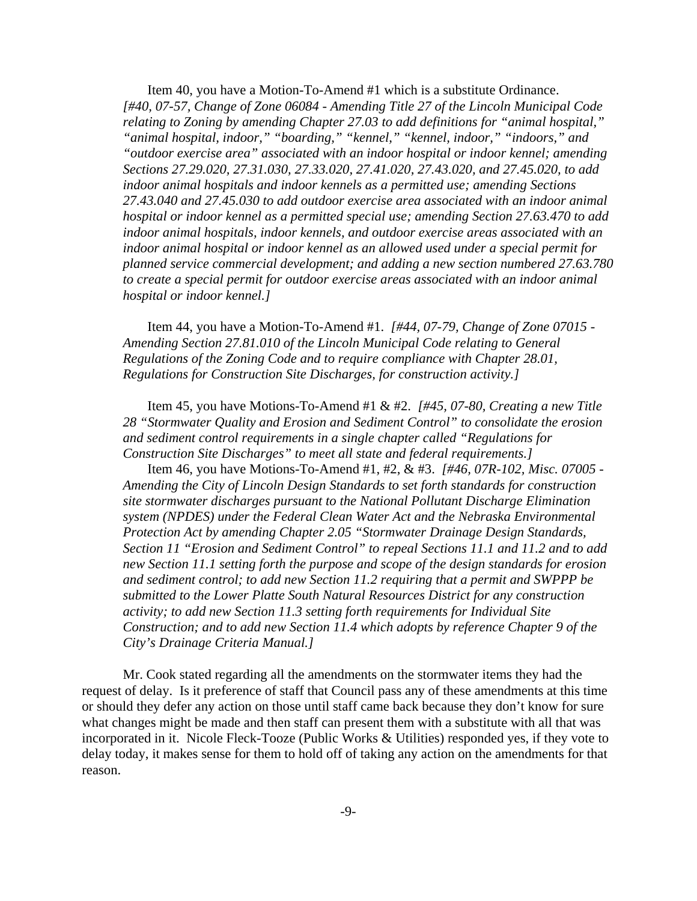Item 40, you have a Motion-To-Amend #1 which is a substitute Ordinance. *[#40, 07-57, Change of Zone 06084 - Amending Title 27 of the Lincoln Municipal Code relating to Zoning by amending Chapter 27.03 to add definitions for "animal hospital," "animal hospital, indoor," "boarding," "kennel," "kennel, indoor," "indoors," and "outdoor exercise area" associated with an indoor hospital or indoor kennel; amending Sections 27.29.020, 27.31.030, 27.33.020, 27.41.020, 27.43.020, and 27.45.020, to add indoor animal hospitals and indoor kennels as a permitted use; amending Sections 27.43.040 and 27.45.030 to add outdoor exercise area associated with an indoor animal hospital or indoor kennel as a permitted special use; amending Section 27.63.470 to add indoor animal hospitals, indoor kennels, and outdoor exercise areas associated with an indoor animal hospital or indoor kennel as an allowed used under a special permit for planned service commercial development; and adding a new section numbered 27.63.780 to create a special permit for outdoor exercise areas associated with an indoor animal hospital or indoor kennel.]* 

Item 44, you have a Motion-To-Amend #1. *[#44, 07-79, Change of Zone 07015 - Amending Section 27.81.010 of the Lincoln Municipal Code relating to General Regulations of the Zoning Code and to require compliance with Chapter 28.01, Regulations for Construction Site Discharges, for construction activity.]* 

Item 45, you have Motions-To-Amend #1 & #2. *[#45, 07-80, Creating a new Title 28 "Stormwater Quality and Erosion and Sediment Control" to consolidate the erosion and sediment control requirements in a single chapter called "Regulations for Construction Site Discharges" to meet all state and federal requirements.]*

Item 46, you have Motions-To-Amend #1, #2, & #3. *[#46, 07R-102, Misc. 07005 - Amending the City of Lincoln Design Standards to set forth standards for construction site stormwater discharges pursuant to the National Pollutant Discharge Elimination system (NPDES) under the Federal Clean Water Act and the Nebraska Environmental Protection Act by amending Chapter 2.05 "Stormwater Drainage Design Standards, Section 11 "Erosion and Sediment Control" to repeal Sections 11.1 and 11.2 and to add new Section 11.1 setting forth the purpose and scope of the design standards for erosion and sediment control; to add new Section 11.2 requiring that a permit and SWPPP be submitted to the Lower Platte South Natural Resources District for any construction activity; to add new Section 11.3 setting forth requirements for Individual Site Construction; and to add new Section 11.4 which adopts by reference Chapter 9 of the City's Drainage Criteria Manual.]* 

Mr. Cook stated regarding all the amendments on the stormwater items they had the request of delay. Is it preference of staff that Council pass any of these amendments at this time or should they defer any action on those until staff came back because they don't know for sure what changes might be made and then staff can present them with a substitute with all that was incorporated in it. Nicole Fleck-Tooze (Public Works & Utilities) responded yes, if they vote to delay today, it makes sense for them to hold off of taking any action on the amendments for that reason.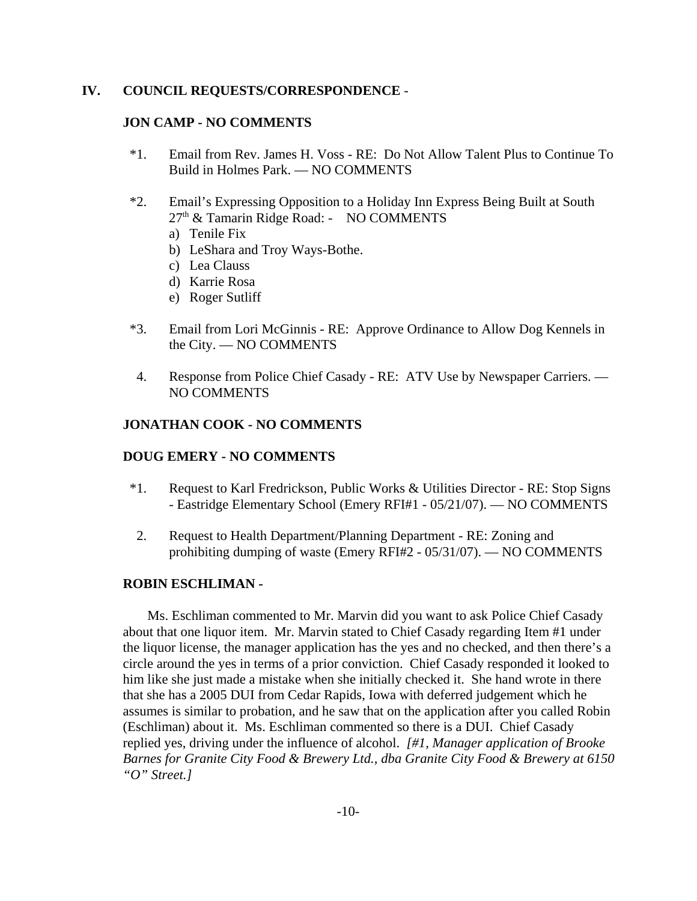#### **IV. COUNCIL REQUESTS/CORRESPONDENCE** -

#### **JON CAMP - NO COMMENTS**

- \*1. Email from Rev. James H. Voss RE: Do Not Allow Talent Plus to Continue To Build in Holmes Park. — NO COMMENTS
- \*2. Email's Expressing Opposition to a Holiday Inn Express Being Built at South  $27<sup>th</sup>$  & Tamarin Ridge Road: - NO COMMENTS
	- a) Tenile Fix
	- b) LeShara and Troy Ways-Bothe.
	- c) Lea Clauss
	- d) Karrie Rosa
	- e) Roger Sutliff
- \*3. Email from Lori McGinnis RE: Approve Ordinance to Allow Dog Kennels in the City. — NO COMMENTS
- 4. Response from Police Chief Casady RE: ATV Use by Newspaper Carriers. NO COMMENTS

#### **JONATHAN COOK - NO COMMENTS**

#### **DOUG EMERY - NO COMMENTS**

- \*1. Request to Karl Fredrickson, Public Works & Utilities Director RE: Stop Signs - Eastridge Elementary School (Emery RFI#1 - 05/21/07). — NO COMMENTS
- 2. Request to Health Department/Planning Department RE: Zoning and prohibiting dumping of waste (Emery RFI#2 - 05/31/07). — NO COMMENTS

#### **ROBIN ESCHLIMAN -**

Ms. Eschliman commented to Mr. Marvin did you want to ask Police Chief Casady about that one liquor item. Mr. Marvin stated to Chief Casady regarding Item #1 under the liquor license, the manager application has the yes and no checked, and then there's a circle around the yes in terms of a prior conviction. Chief Casady responded it looked to him like she just made a mistake when she initially checked it. She hand wrote in there that she has a 2005 DUI from Cedar Rapids, Iowa with deferred judgement which he assumes is similar to probation, and he saw that on the application after you called Robin (Eschliman) about it. Ms. Eschliman commented so there is a DUI. Chief Casady replied yes, driving under the influence of alcohol. *[#1, Manager application of Brooke Barnes for Granite City Food & Brewery Ltd., dba Granite City Food & Brewery at 6150 "O" Street.]*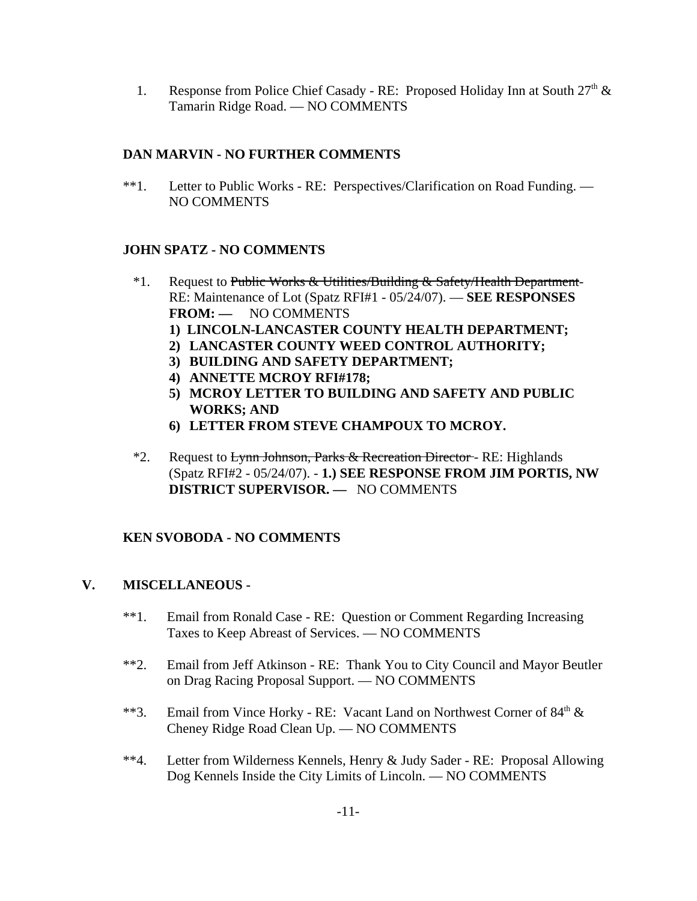1. Response from Police Chief Casady - RE: Proposed Holiday Inn at South 27<sup>th</sup> & Tamarin Ridge Road. — NO COMMENTS

## **DAN MARVIN - NO FURTHER COMMENTS**

\*\*1. Letter to Public Works - RE: Perspectives/Clarification on Road Funding. — NO COMMENTS

## **JOHN SPATZ - NO COMMENTS**

- <sup>\*</sup>1. Request to Public Works & Utilities/Building & Safety/Health Department-RE: Maintenance of Lot (Spatz RFI#1 - 05/24/07). — **SEE RESPONSES FROM: —** NO COMMENTS
	- **1) LINCOLN-LANCASTER COUNTY HEALTH DEPARTMENT;**
	- **2) LANCASTER COUNTY WEED CONTROL AUTHORITY;**
	- **3) BUILDING AND SAFETY DEPARTMENT;**
	- **4) ANNETTE MCROY RFI#178;**
	- **5) MCROY LETTER TO BUILDING AND SAFETY AND PUBLIC WORKS; AND**
	- **6) LETTER FROM STEVE CHAMPOUX TO MCROY.**
- <sup>\*</sup>2. Request to Lynn Johnson, Parks & Recreation Director RE: Highlands (Spatz RFI#2 - 05/24/07). - **1.) SEE RESPONSE FROM JIM PORTIS, NW DISTRICT SUPERVISOR. —** NO COMMENTS

## **KEN SVOBODA - NO COMMENTS**

## **V. MISCELLANEOUS -**

- \*\*1. Email from Ronald Case RE: Question or Comment Regarding Increasing Taxes to Keep Abreast of Services. — NO COMMENTS
- \*\*2. Email from Jeff Atkinson RE: Thank You to City Council and Mayor Beutler on Drag Racing Proposal Support. — NO COMMENTS
- \*\*3. Email from Vince Horky RE: Vacant Land on Northwest Corner of  $84<sup>th</sup>$  & Cheney Ridge Road Clean Up. — NO COMMENTS
- \*\*4. Letter from Wilderness Kennels, Henry & Judy Sader RE: Proposal Allowing Dog Kennels Inside the City Limits of Lincoln. — NO COMMENTS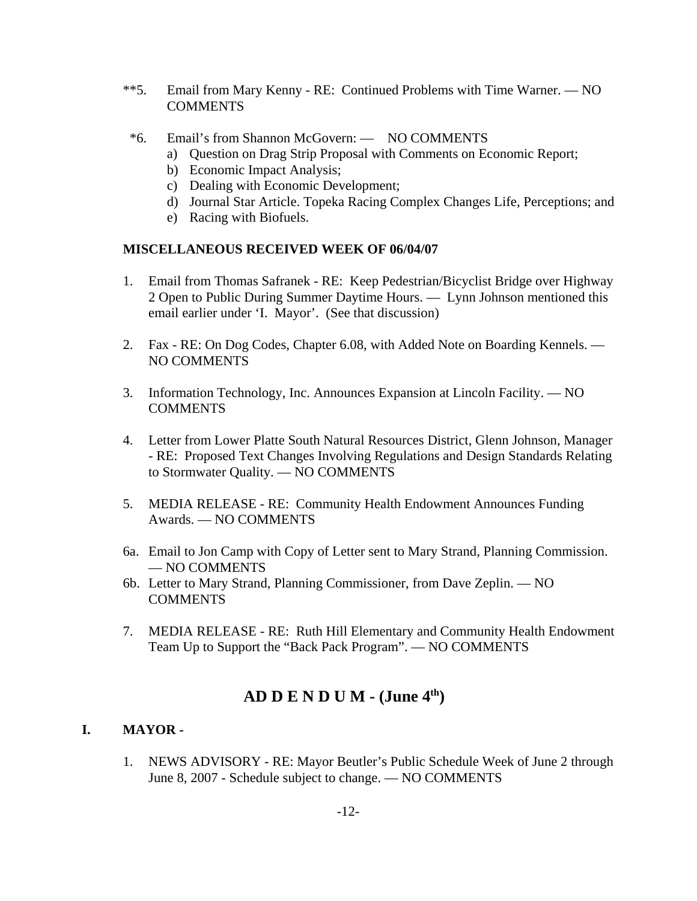- \*\*5. Email from Mary Kenny RE: Continued Problems with Time Warner. NO COMMENTS
	- \*6. Email's from Shannon McGovern: NO COMMENTS
		- a) Question on Drag Strip Proposal with Comments on Economic Report;
		- b) Economic Impact Analysis;
		- c) Dealing with Economic Development;
		- d) Journal Star Article. Topeka Racing Complex Changes Life, Perceptions; and
		- e) Racing with Biofuels.

#### **MISCELLANEOUS RECEIVED WEEK OF 06/04/07**

- 1. Email from Thomas Safranek RE: Keep Pedestrian/Bicyclist Bridge over Highway 2 Open to Public During Summer Daytime Hours. — Lynn Johnson mentioned this email earlier under 'I. Mayor'. (See that discussion)
- 2. Fax RE: On Dog Codes, Chapter 6.08, with Added Note on Boarding Kennels. NO COMMENTS
- 3. Information Technology, Inc. Announces Expansion at Lincoln Facility. NO COMMENTS
- 4. Letter from Lower Platte South Natural Resources District, Glenn Johnson, Manager - RE: Proposed Text Changes Involving Regulations and Design Standards Relating to Stormwater Quality. — NO COMMENTS
- 5. MEDIA RELEASE RE: Community Health Endowment Announces Funding Awards. — NO COMMENTS
- 6a. Email to Jon Camp with Copy of Letter sent to Mary Strand, Planning Commission. — NO COMMENTS
- 6b. Letter to Mary Strand, Planning Commissioner, from Dave Zeplin. NO COMMENTS
- 7. MEDIA RELEASE RE: Ruth Hill Elementary and Community Health Endowment Team Up to Support the "Back Pack Program". — NO COMMENTS

# **AD D E N D U M - (June 4th)**

### **I. MAYOR -**

1. NEWS ADVISORY - RE: Mayor Beutler's Public Schedule Week of June 2 through June 8, 2007 - Schedule subject to change. — NO COMMENTS